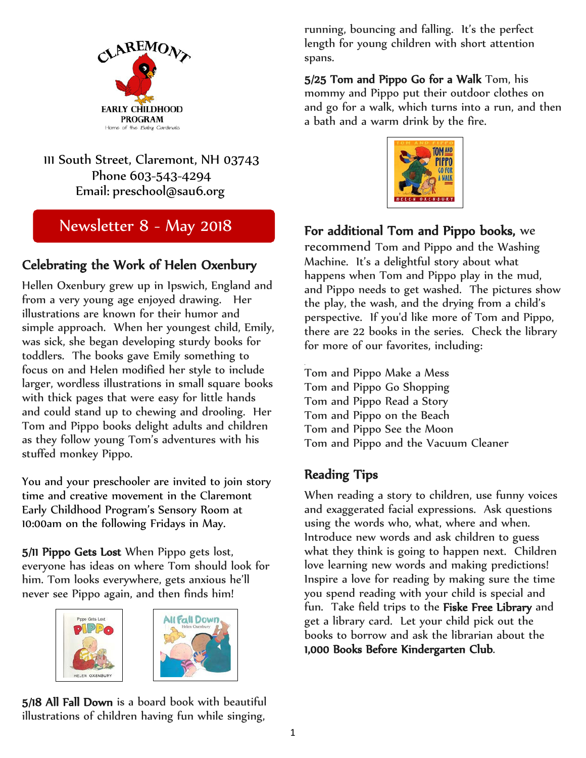

#### 111 South Street, Claremont, NH 03743 Phone 603-543-4294 Email: [preschool@sau6.org](mailto:preschool@sau6.org)

# Newsletter 8 - May 2018

#### Celebrating the Work of Helen Oxenbury

Hellen Oxenbury grew up in Ipswich, England and from a very young age enjoyed drawing. Her illustrations are known for their humor and simple approach. When her youngest child, Emily, was sick, she began developing sturdy books for toddlers. The books gave Emily something to focus on and Helen modified her style to include larger, wordless illustrations in small square books with thick pages that were easy for little hands and could stand up to chewing and drooling. Her Tom and Pippo books delight adults and children as they follow young Tom's adventures with his stuffed monkey Pippo.

You and your preschooler are invited to join story time and creative movement in the Claremont Early Childhood Program's Sensory Room at 10:00am on the following Fridays in May.

5/11 Pippo Gets Lost When Pippo gets lost, everyone has ideas on where Tom should look for him. Tom looks everywhere, gets anxious he'll never see Pippo again, and then finds him!





5/18 All Fall Down is a board book with beautiful illustrations of children having fun while singing,

running, bouncing and falling. It's the perfect length for young children with short attention spans.

5/25 Tom and Pippo Go for a Walk Tom, his mommy and Pippo put their outdoor clothes on and go for a walk, which turns into a run, and then a bath and a warm drink by the fire.



### For additional Tom and Pippo books, we

recommend Tom and Pippo and the Washing Machine. It's a delightful story about what happens when Tom and Pippo play in the mud, and Pippo needs to get washed. The pictures show the play, the wash, and the drying from a child's perspective. If you'd like more of Tom and Pippo, there are 22 books in the series. Check the library for more of our favorites, including:

Tom and Pippo Make a Mess Tom and Pippo Go Shopping Tom and Pippo Read a Story Tom and Pippo on the Beach Tom and Pippo See the Moon Tom and Pippo and the Vacuum Cleaner

#### Reading Tips

.

When reading a story to children, use funny voices and exaggerated facial expressions. Ask questions using the words who, what, where and when. Introduce new words and ask children to guess what they think is going to happen next. Children love learning new words and making predictions! Inspire a love for reading by making sure the time you spend reading with your child is special and fun. Take field trips to the Fiske Free Library and get a library card. Let your child pick out the books to borrow and ask the librarian about the 1,000 Books Before Kindergarten Club.